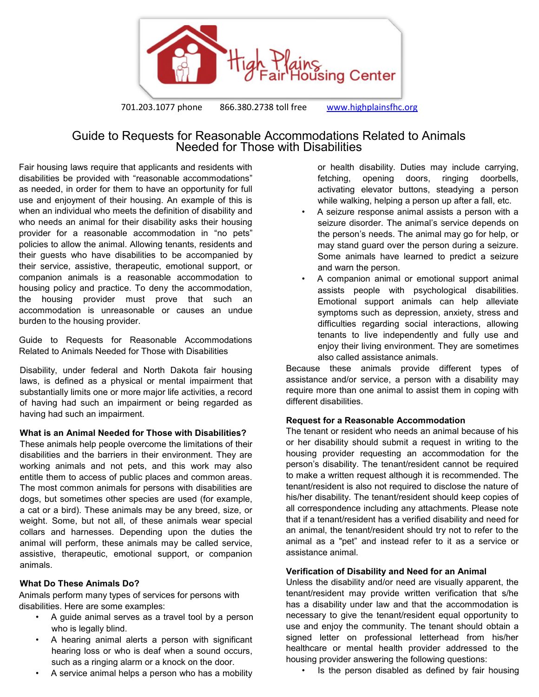

# Guide to Requests for Reasonable Accommodations Related to Animals Needed for Those with Disabilities

Fair housing laws require that applicants and residents with disabilities be provided with "reasonable accommodations" as needed, in order for them to have an opportunity for full use and enjoyment of their housing. An example of this is when an individual who meets the definition of disability and who needs an animal for their disability asks their housing provider for a reasonable accommodation in "no pets" policies to allow the animal. Allowing tenants, residents and their guests who have disabilities to be accompanied by their service, assistive, therapeutic, emotional support, or companion animals is a reasonable accommodation to housing policy and practice. To deny the accommodation, the housing provider must prove that such an accommodation is unreasonable or causes an undue burden to the housing provider.

Guide to Requests for Reasonable Accommodations Related to Animals Needed for Those with Disabilities

Disability, under federal and North Dakota fair housing laws, is defined as a physical or mental impairment that substantially limits one or more major life activities, a record of having had such an impairment or being regarded as having had such an impairment.

#### **What is an Animal Needed for Those with Disabilities?**

These animals help people overcome the limitations of their disabilities and the barriers in their environment. They are working animals and not pets, and this work may also entitle them to access of public places and common areas. The most common animals for persons with disabilities are dogs, but sometimes other species are used (for example, a cat or a bird). These animals may be any breed, size, or weight. Some, but not all, of these animals wear special collars and harnesses. Depending upon the duties the animal will perform, these animals may be called service, assistive, therapeutic, emotional support, or companion animals.

#### **What Do These Animals Do?**

Animals perform many types of services for persons with disabilities. Here are some examples:

- A guide animal serves as a travel tool by a person who is legally blind.
- A hearing animal alerts a person with significant hearing loss or who is deaf when a sound occurs, such as a ringing alarm or a knock on the door.
- A service animal helps a person who has a mobility

or health disability. Duties may include carrying, fetching, opening doors, ringing doorbells, activating elevator buttons, steadying a person while walking, helping a person up after a fall, etc.

- A seizure response animal assists a person with a seizure disorder. The animal's service depends on the person's needs. The animal may go for help, or may stand guard over the person during a seizure. Some animals have learned to predict a seizure and warn the person.
- <span id="page-0-0"></span>• A companion animal or emotional support animal assists people with psychological disabilities. Emotional support animals can help alleviate symptoms such as depression, anxiety, stress and difficulties regarding social interactions, allowing tenants to live independently and fully use and enjoy their living environment. They are sometimes also called assistance animals.

Because these animals provide different types of assistance and/or service, a person with a disability may require more than one animal to assist them in coping with different disabilities.

#### **Request for a Reasonable Accommodation**

The tenant or resident who needs an animal because of his or her disability should submit a request in writing to the housing provider requesting an accommodation for the person's disability. The tenant/resident cannot be required to make a written request although it is recommended. The tenant/resident is also not required to disclose the nature of his/her disability. The tenant/resident should keep copies of all correspondence including any attachments. Please note that if a tenant/resident has a verified disability and need for an animal, the tenant/resident should try not to refer to the animal as a "pet" and instead refer to it as a service or assistance animal.

#### **Verification of Disability and Need for an Animal**

Unless the disability and/or need are visually apparent, the tenant/resident may provide written verification that s/he has a disability under law and that the accommodation is necessary to give the tenant/resident equal opportunity to use and enjoy the community. The tenant should obtain a signed letter on professional letterhead from his/her healthcare or mental health provider addressed to the housing provider answering the following questions:

• Is the person disabled as defined by fair housing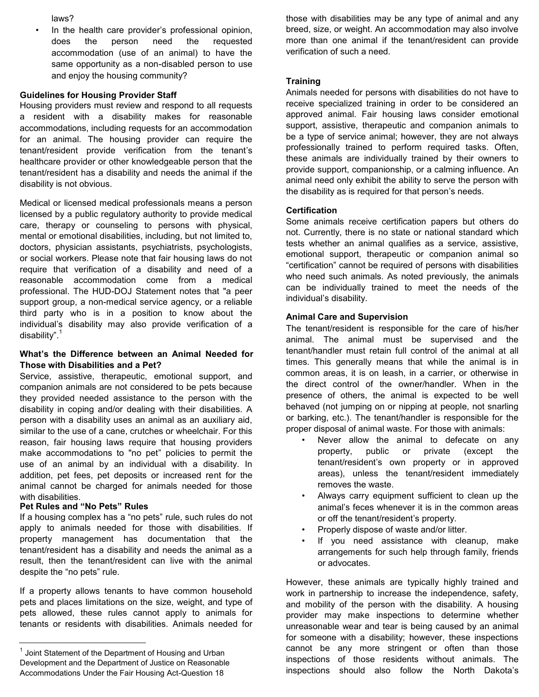laws?

In the health care provider's professional opinion, does the person need the requested accommodation (use of an animal) to have the same opportunity as a non-disabled person to use and enjoy the housing community?

### **Guidelines for Housing Provider Staff**

Housing providers must review and respond to all requests a resident with a disability makes for reasonable accommodations, including requests for an accommodation for an animal. The housing provider can require the tenant/resident provide verification from the tenant's healthcare provider or other knowledgeable person that the tenant/resident has a disability and needs the animal if the disability is not obvious.

Medical or licensed medical professionals means a person licensed by a public regulatory authority to provide medical care, therapy or counseling to persons with physical, mental or emotional disabilities, including, but not limited to, doctors, physician assistants, psychiatrists, psychologists, or social workers. Please note that fair housing laws do not require that verification of a disability and need of a reasonable accommodation come from a medical professional. The HUD-DOJ Statement notes that "a peer support group, a non-medical service agency, or a reliable third party who is in a position to know about the individual's disability may also provide verification of a disability". [1](#page-0-0)

#### **What's the Difference between an Animal Needed for Those with Disabilities and a Pet?**

Service, assistive, therapeutic, emotional support, and companion animals are not considered to be pets because they provided needed assistance to the person with the disability in coping and/or dealing with their disabilities. A person with a disability uses an animal as an auxiliary aid, similar to the use of a cane, crutches or wheelchair. For this reason, fair housing laws require that housing providers make accommodations to "no pet" policies to permit the use of an animal by an individual with a disability. In addition, pet fees, pet deposits or increased rent for the animal cannot be charged for animals needed for those with disabilities.

### **Pet Rules and "No Pets" Rules**

l

If a housing complex has a "no pets" rule, such rules do not apply to animals needed for those with disabilities. If property management has documentation that the tenant/resident has a disability and needs the animal as a result, then the tenant/resident can live with the animal despite the "no pets" rule.

If a property allows tenants to have common household pets and places limitations on the size, weight, and type of pets allowed, these rules cannot apply to animals for tenants or residents with disabilities. Animals needed for

those with disabilities may be any type of animal and any breed, size, or weight. An accommodation may also involve more than one animal if the tenant/resident can provide verification of such a need.

### **Training**

Animals needed for persons with disabilities do not have to receive specialized training in order to be considered an approved animal. Fair housing laws consider emotional support, assistive, therapeutic and companion animals to be a type of service animal; however, they are not always professionally trained to perform required tasks. Often, these animals are individually trained by their owners to provide support, companionship, or a calming influence. An animal need only exhibit the ability to serve the person with the disability as is required for that person's needs.

## **Certification**

Some animals receive certification papers but others do not. Currently, there is no state or national standard which tests whether an animal qualifies as a service, assistive, emotional support, therapeutic or companion animal so "certification" cannot be required of persons with disabilities who need such animals. As noted previously, the animals can be individually trained to meet the needs of the individual's disability.

### **Animal Care and Supervision**

The tenant/resident is responsible for the care of his/her animal. The animal must be supervised and the tenant/handler must retain full control of the animal at all times. This generally means that while the animal is in common areas, it is on leash, in a carrier, or otherwise in the direct control of the owner/handler. When in the presence of others, the animal is expected to be well behaved (not jumping on or nipping at people, not snarling or barking, etc.). The tenant/handler is responsible for the proper disposal of animal waste. For those with animals:

- Never allow the animal to defecate on any property, public or private (except the tenant/resident's own property or in approved areas), unless the tenant/resident immediately removes the waste.
- Always carry equipment sufficient to clean up the animal's feces whenever it is in the common areas or off the tenant/resident's property.
- Properly dispose of waste and/or litter.
- If you need assistance with cleanup, make arrangements for such help through family, friends or advocates.

However, these animals are typically highly trained and work in partnership to increase the independence, safety, and mobility of the person with the disability. A housing provider may make inspections to determine whether unreasonable wear and tear is being caused by an animal for someone with a disability; however, these inspections cannot be any more stringent or often than those inspections of those residents without animals. The inspections should also follow the North Dakota's

<sup>&</sup>lt;sup>1</sup> Joint Statement of the Department of Housing and Urban Development and the Department of Justice on Reasonable Accommodations Under the Fair Housing Act-Question 18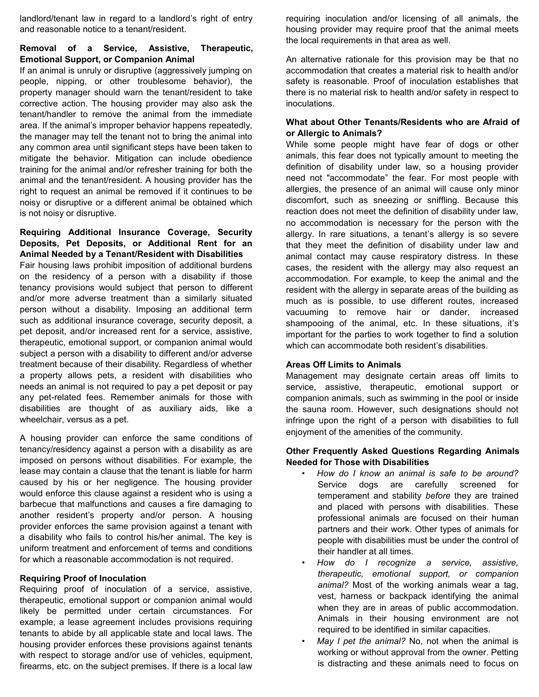landlord/tenant law in regard to a landlord's right of entry and reasonable notice to a tenant/resident.

### **Removal of a Service, Assistive, Therapeutic, Emotional Support, or Companion Animal**

If an animal is unruly or disruptive (aggressively jumping on people, nipping, or other troublesome behavior), the property manager should warn the tenant/resident to take corrective action. The housing provider may also ask the tenant/handler to remove the animal from the immediate area. If the animal's improper behavior happens repeatedly, the manager may tell the tenant not to bring the animal into any common area until significant steps have been taken to mitigate the behavior. Mitigation can include obedience training for the animal and/or refresher training for both the animal and the tenant/resident. A housing provider has the right to request an animal be removed if it continues to be noisy or disruptive or a different animal be obtained which is not noisy or disruptive.

### **Requiring Additional Insurance Coverage, Security Deposits, Pet Deposits, or Additional Rent for an Animal Needed by a Tenant/Resident with Disabilities**

Fair housing laws prohibit imposition of additional burdens on the residency of a person with a disability if those tenancy provisions would subject that person to different and/or more adverse treatment than a similarly situated person without a disability. Imposing an additional term such as additional insurance coverage, security deposit, a pet deposit, and/or increased rent for a service, assistive, therapeutic, emotional support, or companion animal would subject a person with a disability to different and/or adverse treatment because of their disability. Regardless of whether a property allows pets, a resident with disabilities who needs an animal is not required to pay a pet deposit or pay any pet-related fees. Remember animals for those with disabilities are thought of as auxiliary aids, like a wheelchair, versus as a pet.

A housing provider can enforce the same conditions of tenancy/residency against a person with a disability as are imposed on persons without disabilities. For example, the lease may contain a clause that the tenant is liable for harm caused by his or her negligence. The housing provider would enforce this clause against a resident who is using a barbecue that malfunctions and causes a fire damaging to another resident's property and/or person. A housing provider enforces the same provision against a tenant with a disability who fails to control his/her animal. The key is uniform treatment and enforcement of terms and conditions for which a reasonable accommodation is not required.

#### **Requiring Proof of Inoculation**

Requiring proof of inoculation of a service, assistive, therapeutic, emotional support or companion animal would likely be permitted under certain circumstances. For example, a lease agreement includes provisions requiring tenants to abide by all applicable state and local laws. The housing provider enforces these provisions against tenants with respect to storage and/or use of vehicles, equipment, firearms, etc. on the subject premises. If there is a local law

requiring inoculation and/or licensing of all animals, the housing provider may require proof that the animal meets the local requirements in that area as well.

An alternative rationale for this provision may be that no accommodation that creates a material risk to health and/or safety is reasonable. Proof of inoculation establishes that there is no material risk to health and/or safety in respect to inoculations.

## **What about Other Tenants/Residents who are Afraid of or Allergic to Animals?**

While some people might have fear of dogs or other animals, this fear does not typically amount to meeting the definition of disability under law, so a housing provider need not "accommodate" the fear. For most people with allergies, the presence of an animal will cause only minor discomfort, such as sneezing or sniffling. Because this reaction does not meet the definition of disability under law, no accommodation is necessary for the person with the allergy. In rare situations, a tenant's allergy is so severe that they meet the definition of disability under law and animal contact may cause respiratory distress. In these cases, the resident with the allergy may also request an accommodation. For example, to keep the animal and the resident with the allergy in separate areas of the building as much as is possible, to use different routes, increased vacuuming to remove hair or dander, increased shampooing of the animal, etc. In these situations, it's important for the parties to work together to find a solution which can accommodate both resident's disabilities.

#### **Areas Off Limits to Animals**

Management may designate certain areas off limits to service, assistive, therapeutic, emotional support or companion animals, such as swimming in the pool or inside the sauna room. However, such designations should not infringe upon the right of a person with disabilities to full enjoyment of the amenities of the community.

### **Other Frequently Asked Questions Regarding Animals Needed for Those with Disabilities**

- *How do I know an animal is safe to be around?* Service dogs are carefully screened for temperament and stability *before* they are trained and placed with persons with disabilities. These professional animals are focused on their human partners and their work. Other types of animals for people with disabilities must be under the control of their handler at all times.
- *How do I recognize a service, assistive, therapeutic, emotional support, or companion animal?* Most of the working animals wear a tag, vest, harness or backpack identifying the animal when they are in areas of public accommodation. Animals in their housing environment are not required to be identified in similar capacities.
- *May I pet the animal?* No, not when the animal is working or without approval from the owner. Petting is distracting and these animals need to focus on